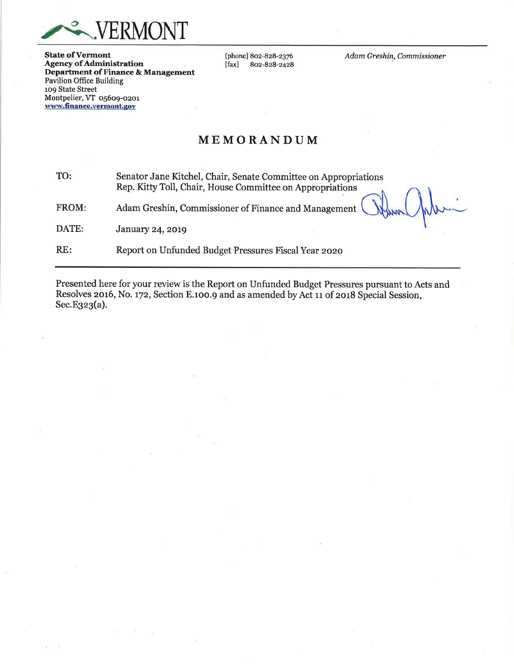

**State of Vermont Agency of Administration** Department of Finance & Management **Pavilion Office Building** 109 State Street Montpelier, VT 05609-0201 www.finance.vermont.gov

[phone] 802-828-2376  $[$ fax $]$ 802-828-2428 Adam Greshin, Commissioner

## MEMORANDUM

TO: Senator Jane Kitchel, Chair, Senate Committee on Appropriations Rep. Kitty Toll, Chair, House Committee on Appropriations FROM: Adam Greshin, Commissioner of Finance and Management DATE: **January 24, 2019** RE: Report on Unfunded Budget Pressures Fiscal Year 2020

Presented here for your review is the Report on Unfunded Budget Pressures pursuant to Acts and Resolves 2016, No. 172, Section E.100.9 and as amended by Act 11 of 2018 Special Session, Sec.E323(a).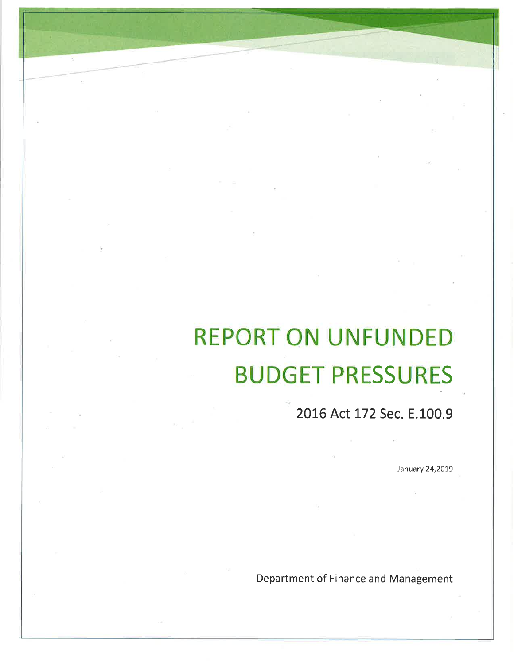# REPORT ON UNFUNDED BUDGET PRESSURES

2OLG Act L72 Sec. E.100.9

January 24,2019

Department of Finance and Management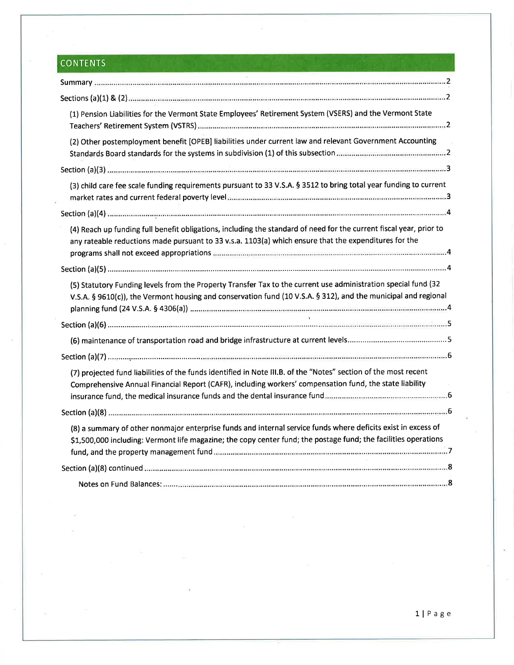# **CONTENTS**

| (1) Pension Liabilities for the Vermont State Employees' Retirement System (VSERS) and the Vermont State                                                                                                                                                                                                                       |
|--------------------------------------------------------------------------------------------------------------------------------------------------------------------------------------------------------------------------------------------------------------------------------------------------------------------------------|
| (2) Other postemployment benefit [OPEB] liabilities under current law and relevant Government Accounting                                                                                                                                                                                                                       |
|                                                                                                                                                                                                                                                                                                                                |
| (3) child care fee scale funding requirements pursuant to 33 V.S.A. § 3512 to bring total year funding to current                                                                                                                                                                                                              |
|                                                                                                                                                                                                                                                                                                                                |
| (4) Reach up funding full benefit obligations, including the standard of need for the current fiscal year, prior to<br>any rateable reductions made pursuant to 33 v.s.a. 1103(a) which ensure that the expenditures for the<br>programs shall not exceed appropriations <i>communicammummummummummummummummummummummum</i> .4 |
|                                                                                                                                                                                                                                                                                                                                |
| (5) Statutory Funding levels from the Property Transfer Tax to the current use administration special fund (32<br>V.S.A. § 9610(c)), the Vermont housing and conservation fund (10 V.S.A. § 312), and the municipal and regional                                                                                               |
|                                                                                                                                                                                                                                                                                                                                |
|                                                                                                                                                                                                                                                                                                                                |
|                                                                                                                                                                                                                                                                                                                                |
| (7) projected fund liabilities of the funds identified in Note III.B. of the "Notes" section of the most recent<br>Comprehensive Annual Financial Report (CAFR), including workers' compensation fund, the state liability                                                                                                     |
|                                                                                                                                                                                                                                                                                                                                |
| (8) a summary of other nonmajor enterprise funds and internal service funds where deficits exist in excess of<br>\$1,500,000 including: Vermont life magazine; the copy center fund; the postage fund; the facilities operations                                                                                               |
|                                                                                                                                                                                                                                                                                                                                |
|                                                                                                                                                                                                                                                                                                                                |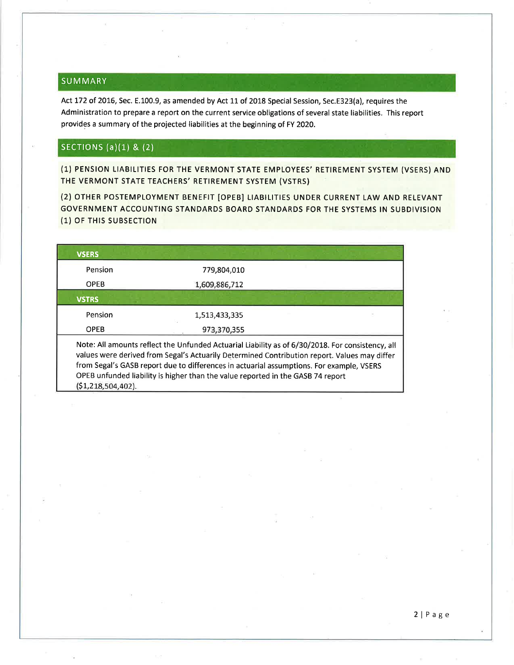## SUMMARY

Act L72 of 2016, Sec. E.100.9, as amended by Act 11 of 2018 Special Session, Sec.E323(a), requires the Administration to prepare a report on the current service obligations of several state liabilities. This report provides a summary of the projected liabilities at the beginning of FY 2020.

## SECTIONS (a) $(1)$  &  $(2)$

(1) PENSION LIABILITIES FOR THE VERMONT STATE EMPLOYEES'RETIREMENT SYSTEM (VSERS) AND THE VERMONT STATE TEACHERS' RETIREMENT SYSTEM (VSTRS)

(2) OTHER POSTEMPLOYMENT BENEFIT [OPEB] LIABILITIES UNDER CURRENT LAW AND RELEVANT GOVERNMENT ACCOUNTING STANDARDS BOARD STANDARDS FOR THE SYSTEMS IN SUBDIVISION (1) OF THIS SUBSECTION

| <b>VSERS</b>                                                                                                                                                                                                                                                                                                                                                                                            |               |  |  |  |  |  |
|---------------------------------------------------------------------------------------------------------------------------------------------------------------------------------------------------------------------------------------------------------------------------------------------------------------------------------------------------------------------------------------------------------|---------------|--|--|--|--|--|
| Pension                                                                                                                                                                                                                                                                                                                                                                                                 | 779,804,010   |  |  |  |  |  |
| <b>OPEB</b>                                                                                                                                                                                                                                                                                                                                                                                             | 1,609,886,712 |  |  |  |  |  |
| <b>VSTRS</b>                                                                                                                                                                                                                                                                                                                                                                                            |               |  |  |  |  |  |
| Pension                                                                                                                                                                                                                                                                                                                                                                                                 | 1,513,433,335 |  |  |  |  |  |
| <b>OPEB</b>                                                                                                                                                                                                                                                                                                                                                                                             | 973,370,355   |  |  |  |  |  |
| Note: All amounts reflect the Unfunded Actuarial Liability as of 6/30/2018. For consistency, all<br>values were derived from Segal's Actuarily Determined Contribution report. Values may differ<br>from Segal's GASB report due to differences in actuarial assumptions. For example, VSERS<br>OPEB unfunded liability is higher than the value reported in the GASB 74 report<br>(51, 218, 504, 402). |               |  |  |  |  |  |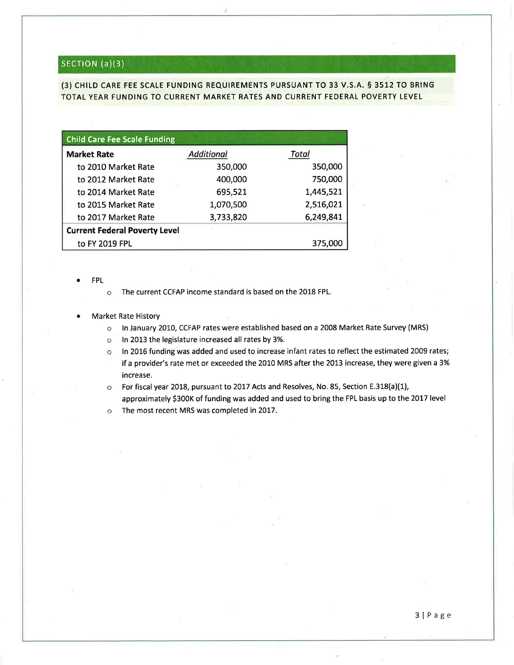## SECTION (a)(3)

(3) CHILD CARE FEE SCALE FUNDING REQUIREMENTS PURSUANT TO 33 V.S.A. § 3512 TO BRING TOTAL YEAR FUNDING TO CURRENT MARKET RATES AND CURRENT FEDERAL POVERTY LEVEL

| <b>Child Care Fee Scale Funding</b>  |                   |           |
|--------------------------------------|-------------------|-----------|
| <b>Market Rate</b>                   | <b>Additional</b> | Total     |
| to 2010 Market Rate                  | 350,000           | 350,000   |
| to 2012 Market Rate                  | 400,000           | 750,000   |
| to 2014 Market Rate                  | 695,521           | 1,445,521 |
| to 2015 Market Rate                  | 1,070,500         | 2,516,021 |
| to 2017 Market Rate                  | 3,733,820         | 6,249,841 |
| <b>Current Federal Poverty Level</b> |                   |           |
| to FY 2019 FPL                       |                   | 375,000   |

a FPL

o The current CCFAP income standard is based on the 2018 FPL.

### **Market Rate History**

- o ln January 2010, CCFAP rates were established based on a 2008 Market Rate Survey (MRS)
- o ln 2013 the legislature increased all rates by 3%.
- o ln 2016 funding was added and used to increase infant rates to reflect the estimated 2009 rates; if a provider's rate met or exceeded the 2010 MRS after the 2013 increase, they were given a 3% increase.
- o For fiscal year 2018, pursuant to 2017 Acts and Resolves, No. 85, Section E.318(a)(1), approximately \$300K of funding was added and used to bring the FPL basis up to the 2017 level

o The most recent MRS was completed in 2OL7.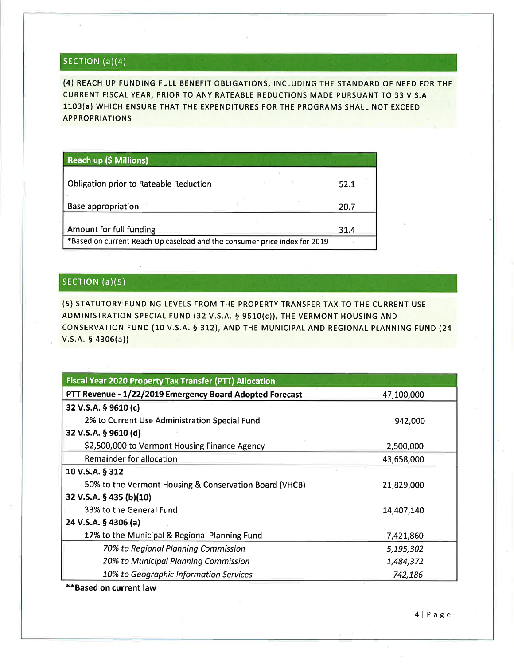# SECTION (a)(4)

(4) REACH UP FUNDING FULL BENEFIT OBLIGATIONS, INCLUDING THE STANDARD OF NEED FOR THE CURRENT FISCAL YEAR, PRIOR TO ANY RATEABLE REDUCTIONS MADE PURSUANT TO 33 V.S.A. 1103(a) WHICH ENSURE THAT THE EXPENDITURES FOR THE PROGRAMS SHALL NOT EXCEED APPROPRIATIONS

| <b>Reach up (\$ Millions)</b>                                             |  |  |      |  |
|---------------------------------------------------------------------------|--|--|------|--|
| <b>Obligation prior to Rateable Reduction</b>                             |  |  | 52.1 |  |
| <b>Base appropriation</b>                                                 |  |  | 20.7 |  |
| Amount for full funding                                                   |  |  | 31.4 |  |
| *Based on current Reach Up caseload and the consumer price index for 2019 |  |  |      |  |

## SECTION (a)(5)

(5) STATUTORY FUNDING LEVELS FROM THE PROPERTY TRANSFER TAX TO THE CURRENT USE ADMINISTRATION SPECIAL FUND (32 V.S.A. \$ 9610(c)), THE VERMONT HOUSING AND CONSERVATION FUND (10 V.S.A. § 312), AND THE MUNICIPAL AND REGIONAL PLANNING FUND (24  $V.S.A.$  § 4306(a))

| <b>Fiscal Year 2020 Property Tax Transfer (PTT) Allocation</b> |            |
|----------------------------------------------------------------|------------|
| PTT Revenue - 1/22/2019 Emergency Board Adopted Forecast       | 47,100,000 |
| 32 V.S.A. § 9610 (c)                                           |            |
| 2% to Current Use Administration Special Fund                  | 942,000    |
| 32 V.S.A. § 9610 (d)                                           |            |
| \$2,500,000 to Vermont Housing Finance Agency                  | 2,500,000  |
| Remainder for allocation                                       | 43,658,000 |
| 10 V.S.A. § 312                                                |            |
| 50% to the Vermont Housing & Conservation Board (VHCB)         | 21,829,000 |
| 32 V.S.A. § 435 (b)(10)                                        |            |
| 33% to the General Fund                                        | 14,407,140 |
| 24 V.S.A. § 4306 (a)                                           |            |
| 17% to the Municipal & Regional Planning Fund                  | 7,421,860  |
| 70% to Regional Planning Commission                            | 5,195,302  |
| 20% to Municipal Planning Commission                           | 1,484,372  |
| 10% to Geographic Information Services                         | 742,186    |

\*\*Based on current law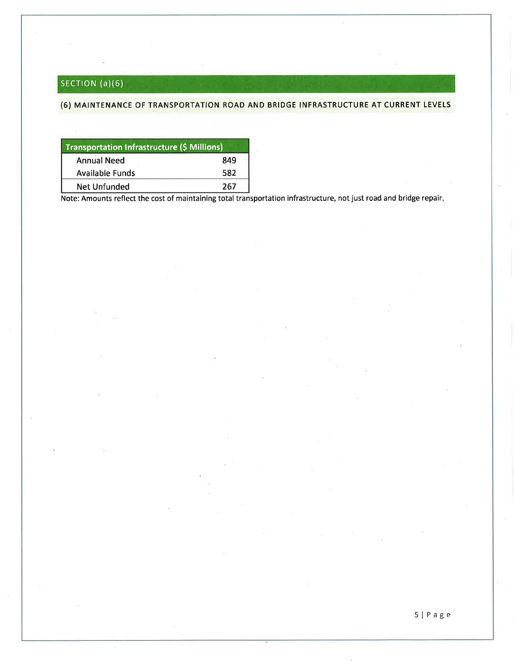# SECTION (a)(6)

## (6) MAINTENANCE OF TRANSPORTATION ROAD AND BRIDGE INFRASTRUCTURE AT CURRENT LEVELS

| Transportation Infrastructure (\$ Millions) |     |  |  |  |
|---------------------------------------------|-----|--|--|--|
| <b>Annual Need</b><br>849                   |     |  |  |  |
| <b>Available Funds</b>                      | 582 |  |  |  |
| Net Unfunded                                | 267 |  |  |  |

Note: Amounts reflect the cost of maintaining total transportation infrastructure, not just road and bridge repair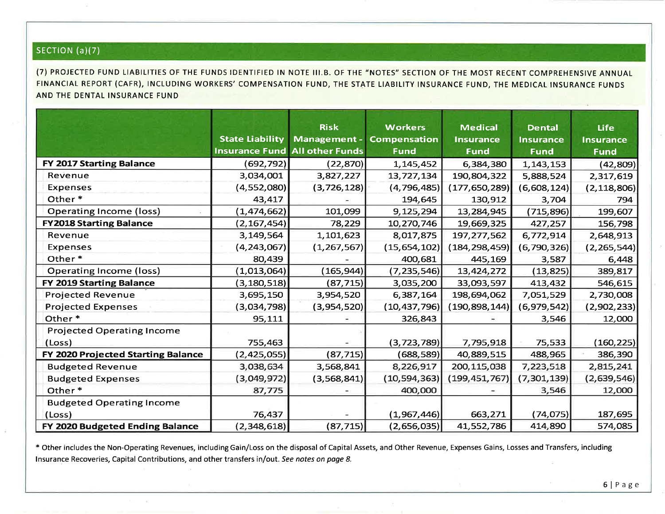# SECTION (a)(7)

(7) PROJECTED FUND LIABILITIES OF THE FUNDS IDENTIFIED IN NOTE III.B. OF THE "NOTES" SECTION OF THE MOST RECENT COMPREHENSIVE ANNUAL FINANCIAL REPORT (CAFR), INCLUDING WORKERS' COMPENSATION FUND, THE STATE LIABILITY INSURANCE FUND, THE MEDICAL INSURANCE FUNDS AND THE DENTAL INSURANCE FUND

|                                    |                        | <b>Risk</b>                           | <b>Workers</b>      | <b>Medical</b>   | <b>Dental</b>    | <b>Life</b>      |
|------------------------------------|------------------------|---------------------------------------|---------------------|------------------|------------------|------------------|
|                                    | <b>State Liability</b> | Management -                          | <b>Compensation</b> | <b>Insurance</b> | <b>Insurance</b> | <b>Insurance</b> |
|                                    |                        | <b>Insurance Fund All other Funds</b> | <b>Fund</b>         | <b>Fund</b>      | <b>Fund</b>      | <b>Fund</b>      |
| <b>FY 2017 Starting Balance</b>    | (692,792)              | (22, 870)                             | 1, 145, 452         | 6,384,380        | 1, 143, 153      | (42, 809)        |
| Revenue                            | 3,034,001              | 3,827,227                             | 13,727,134          | 190,804,322      | 5,888,524        | 2,317,619        |
| Expenses                           | (4, 552, 080)          | (3, 726, 128)                         | (4, 796, 485)       | (177, 650, 289)  | (6,608,124)      | (2, 118, 806)    |
| Other*                             | 43,417                 |                                       | 194,645             | 130,912          | 3,704            | 794              |
| <b>Operating Income (loss)</b>     | (1,474,662)            | 101,099                               | 9,125,294           | 13,284,945       | (715, 896)       | 199,607          |
| <b>FY2018 Starting Balance</b>     | (2, 167, 454)          | 78,229                                | 10,270,746          | 19,669,325       | 427,257          | 156,798          |
| Revenue                            | 3,149,564              | 1,101,623                             | 8,017,875           | 197, 277, 562    | 6,772,914        | 2,648,913        |
| Expenses                           | (4, 243, 067)          | (1, 267, 567)                         | (15,654,102)        | (184, 298, 459)  | (6,790,326)      | (2, 265, 544)    |
| Other*                             | 80,439                 |                                       | 400,681             | 445,169          | 3,587            | 6,448            |
| <b>Operating Income (loss)</b>     | (1,013,064)            | (165, 944)                            | (7, 235, 546)       | 13,424,272       | (13, 825)        | 389,817          |
| <b>FY 2019 Starting Balance</b>    | (3, 180, 518)          | (87, 715)                             | 3,035,200           | 33,093,597       | 413,432          | 546,615          |
| <b>Projected Revenue</b>           | 3,695,150              | 3,954,520                             | 6,387,164           | 198,694,062      | 7,051,529        | 2,730,008        |
| <b>Projected Expenses</b>          | (3,034,798)            | (3,954,520)                           | (10, 437, 796)      | (190, 898, 144)  | (6,979,542)      | (2,902,233)      |
| Other*                             | 95,111                 |                                       | 326,843             |                  | 3,546            | 12,000           |
| <b>Projected Operating Income</b>  |                        |                                       |                     |                  |                  |                  |
| (Loss)                             | 755,463                |                                       | (3, 723, 789)       | 7,795,918        | 75,533           | (160, 225)       |
| FY 2020 Projected Starting Balance | (2,425,055)            | (87, 715)                             | (688,589)           | 40,889,515       | 488,965          | 386,390          |
| <b>Budgeted Revenue</b>            | 3,038,634              | 3,568,841                             | 8,226,917           | 200, 115, 038    | 7,223,518        | 2,815,241        |
| <b>Budgeted Expenses</b>           | (3,049,972)            | (3,568,841)                           | (10, 594, 363)      | (199, 451, 767)  | (7, 301, 139)    | (2,639,546)      |
| Other*                             | 87,775                 |                                       | 400,000             |                  | 3,546            | 12,000           |
| <b>Budgeted Operating Income</b>   |                        |                                       |                     |                  |                  |                  |
| (Loss)                             | 76,437                 |                                       | (1,967,446)         | 663,271          | (74, 075)        | 187,695          |
| FY 2020 Budgeted Ending Balance    | (2,348,618)            | (87, 715)                             | (2,656,035)         | 41,552,786       | 414,890          | 574,085          |

\* Other includes the Non-Operating Revenues, including Gain/Loss on the disposal of Capital Assets, and Other Revenue, Expenses Gains, Losses and Transfers, including Insurance Recoveries, Capital Contributions, and other transfers in/out. See notes on page 8.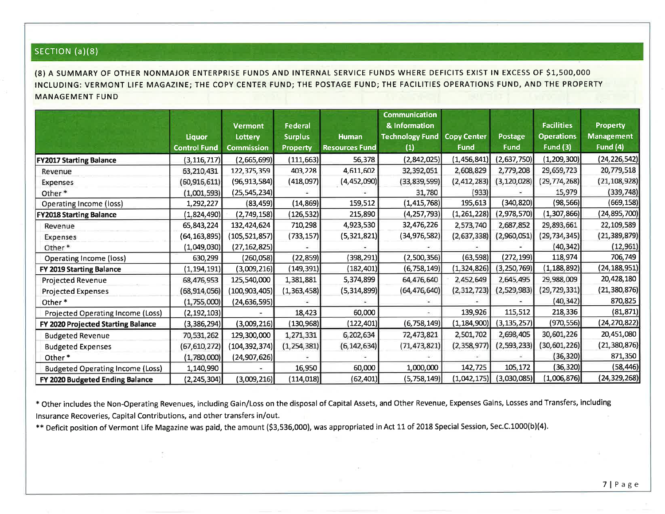# sEcrloN (a)(8)

(8) A SUMMARY OF OTHER NONMAJOR ENTERPRISE FUNDS AND INTERNAL SERVICE FUNDS WHERE DEFICITS EXIST IN EXCESS OF \$1,500,000 INCLUDING: VERMONT LIFE MAGAZINE; THE COPY CENTER FUND; THE POSTAGE FUND; THE FACILITIES OPERATIONS FUND, AND THE PROPERTYMANAGEMENT FUND

|                                         |                     |                   |                |                       | Communication          |                    |               |                   |                   |
|-----------------------------------------|---------------------|-------------------|----------------|-----------------------|------------------------|--------------------|---------------|-------------------|-------------------|
|                                         |                     | <b>Vermont</b>    | <b>Federal</b> |                       | & Information          |                    |               | <b>Facilities</b> | <b>Property</b>   |
|                                         | Liquor              | Lottery           | <b>Surplus</b> | <b>Human</b>          | <b>Technology Fund</b> | <b>Copy Center</b> | Postage       | <b>Operations</b> | <b>Management</b> |
|                                         | <b>Control Fund</b> | <b>Commission</b> | Property       | <b>Resources Fund</b> | (1)                    | <b>Fund</b>        | <b>Fund</b>   | <b>Fund (3)</b>   | Fund $(4)$        |
| <b>FY2017 Starting Balance</b>          | (3, 116, 717)       | (2,665,699)       | (111, 663)     | 56,378                | (2,842,025)            | (1, 456, 841)      | (2,637,750)   | (1, 209, 300)     | (24,226,542)      |
| Revenue                                 | 63,210,431          | 122,375,359       | 403,228        | 4,611,602             | 32,392,051             | 2,608,829          | 2,779,208     | 29,659,723        | 20,779,518        |
| Expenses                                | (60, 916, 611)      | (96, 913, 584)    | (418,097)      | (4,452,090)           | (33,839,599)           | (2, 412, 283)      | (3, 120, 028) | (29, 774, 268)    | (21, 108, 928)    |
| Other*                                  | (1,001,593)         | (25, 545, 234)    |                |                       | 31,780                 | (933)              |               | 15,979            | (339, 748)        |
| <b>Operating Income (loss)</b>          | 1,292,227           | (83, 459)         | (14, 869)      | 159,512               | (1, 415, 768)          | 195,613            | (340,820)     | (98, 566)         | (669, 158)        |
| <b>FY2018 Starting Balance</b>          | (1,824,490)         | (2,749,158)       | (126, 532)     | 215,890               | (4, 257, 793)          | (1,261,228)        | (2,978,570)   | (1,307,866)       | (24,895,700)      |
| Revenue                                 | 65,843,224          | 132,424,624       | 710,298        | 4,923,530             | 32,476,226             | 2,573,740          | 2,687,852     | 29,893,661        | 22,109,589        |
| Expenses                                | (64,163,895)        | (105, 521, 857)   | (733, 157)     | (5,321,821)           | (34, 976, 582)         | (2,637,338)        | (2,960,051)   | (29, 734, 345)    | (21, 389, 879)    |
| Other*                                  | (1,049,030)         | (27, 162, 825)    |                |                       |                        |                    |               | (40, 342)         | (12, 961)         |
| Operating Income (loss)                 | 630,299             | (260,058)         | (22, 859)      | (398,291)             | (2,500,356)            | (63, 598)          | (272, 199)    | 118,974           | 706,749           |
| FY 2019 Starting Balance                | (1, 194, 191)       | (3,009,216)       | (149,391)]     | (182,401)]            | (6, 758, 149)          | (1,324,826)        | (3, 250, 769) | (1, 188, 892)     | (24,188,951)      |
| Projected Revenue                       | 68,476,953          | 125,540,000       | 1,381,881      | 5,374,899             | 64,476,640             | 2,452,649          | 2,645,495     | 29,988,009        | 20,428,180        |
| <b>Projected Expenses</b>               | (68, 914, 056)      | (100, 903, 405)   | (1,363,458)    | (5,314,899)           | (64, 476, 640)         | (2, 312, 723)      | (2,529,983)   | (29, 729, 331)    | (21, 380, 876)    |
| Other*                                  | (1,755,000)         | (24, 636, 595)    |                |                       |                        |                    |               | (40, 342)         | 870,825           |
| Projected Operating Income (Loss)       | (2, 192, 103)       |                   | 18,423         | 60,000                |                        | 139,926            | 115,512       | 218,336           | (81, 871)         |
| FY 2020 Projected Starting Balance      | (3,386,294)         | (3,009,216)       | (130, 968)     | (122,401)             | (6, 758, 149)          | (1, 184, 900)      | (3, 135, 257) | (970,556)         | (24,270,822)      |
| <b>Budgeted Revenue</b>                 | 70,531,262          | 129,300,000       | 1,271,331      | 6,202,634             | 72,473,821             | 2,501,702          | 2,698,405     | 30,601,226        | 20,451,080        |
| <b>Budgeted Expenses</b>                | (67, 610, 272)      | (104, 392, 374)   | (1, 254, 381)  | (6, 142, 634)         | (71, 473, 821)         | (2,358,977)        | (2, 593, 233) | (30, 601, 226)    | (21, 380, 876)    |
| Other <sup>*</sup>                      | (1,780,000)         | (24, 907, 626)    |                |                       |                        |                    |               | (36, 320)         | 871,350           |
| <b>Budgeted Operating Income (Loss)</b> | 1,140,990           |                   | 16,950         | 60,000                | 1,000,000              | 142,725            | 105,172       | (36, 320)         | (58,446)          |
| FY 2020 Budgeted Ending Balance         | (2, 245, 304)       | (3,009,216)       | (114, 018)     | (62,401)              | (5,758,149)            | (1,042,175)]       | (3,030,085)   | (1,006,876)       | (24,329,268)      |

\* Other includes the Non-Operating Revenues, including Gain/Loss on the disposal of Capital Assets, and Other Revenue, Expenses Gains, Losses and Transfers, includinglnsurance Recoveries, Capital Contributions, and other transfers in/out.

\*\* Deficit position of Vermont Life Magazine was paid, the amount (\$3,536,000), was appropriated in Act 11 of 2018 Special Session, Sec.C.1000(b)(4)